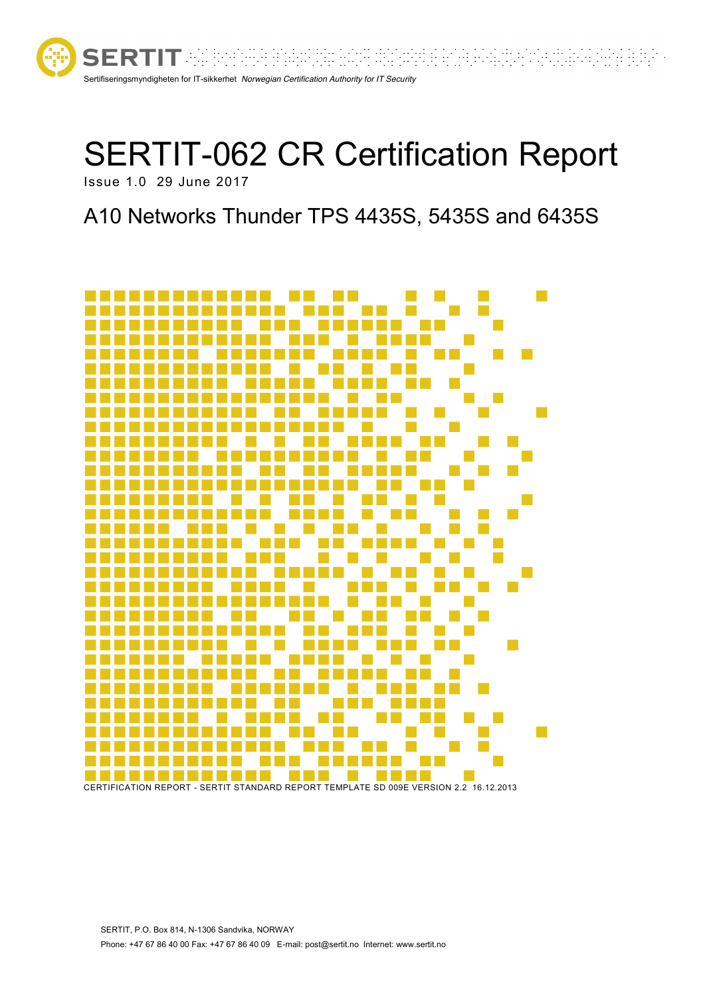

# SERTIT-062 CR Certification Report Issue 1.0 29 June 2017

# A10 Networks Thunder TPS 4435S, 5435S and 6435S

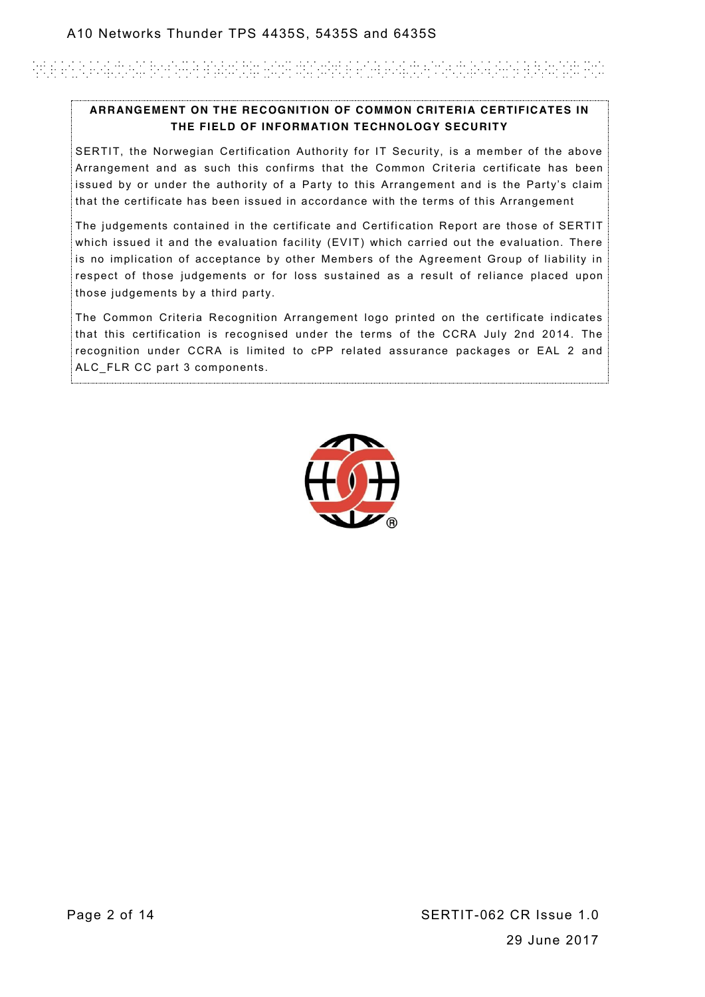# Antie Groß Graubt war die gestellte der Barantet Groß Graubt wird auf der Großen auf der Antie der Franzen und

#### **ARRANGEMENT ON THE RECOGNITION OF COMMON CRITERIA CERTIFICATES IN THE FIELD OF INFORMATION TECHNOLOGY SECURITY**

SERTIT, the Norwegian Certification Authority for IT Security, is a member of the above Arrangement and as such this confirms that the Common Criteria certificate has been issued by or under the authority of a Party to this Arrangement and is the Party's claim that the certificate has been issued in accordance with the terms of this Arrangement

The judgements contained in the certificate and Certification Report are those of SERTIT which issued it and the evaluation facility (EVIT) which carried out the evaluation. There is no implication of acceptance by other Members of the Agreement Group of liability in respect of those judgements or for loss sustained as a result of reliance placed upon those judgements by a third party.

The Common Criteria Recognition Arrangement logo printed on the certificate indicates that this certification is recognised under the terms of the CCRA July 2nd 2014. The recognition under CCRA is limited to cPP related assurance packages or EAL 2 and ALC FLR CC part 3 components.

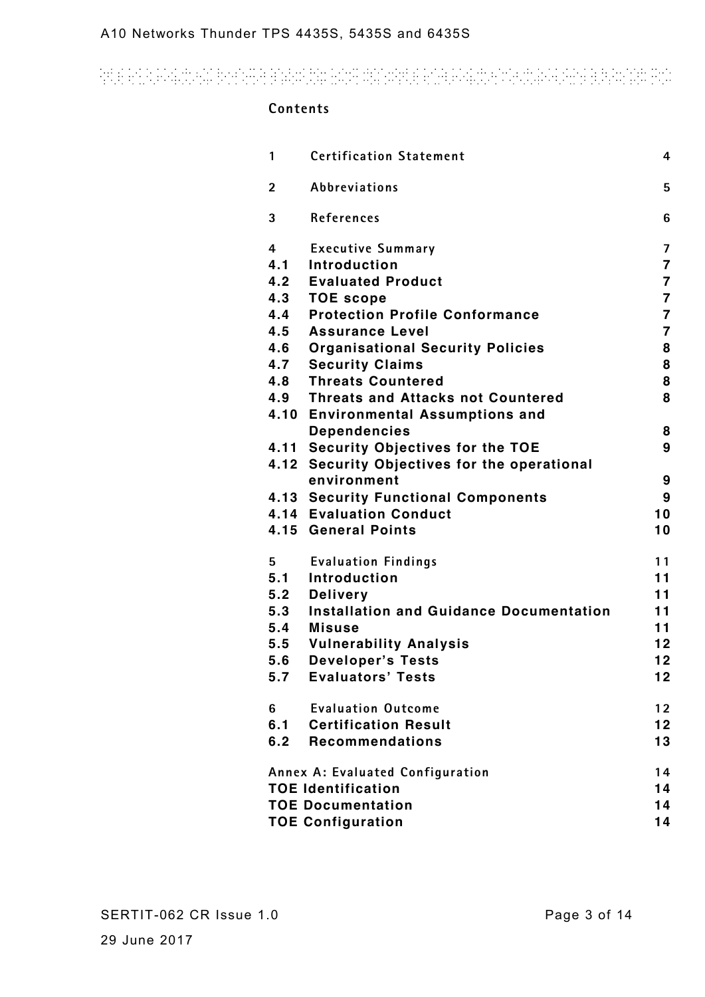# and an automatic property and the contract of the state of the second contract of the state and

#### **Contents**

| 1                                      | <b>Certification Statement</b>                 | 4                       |  |
|----------------------------------------|------------------------------------------------|-------------------------|--|
| $\overline{2}$                         | <b>Abbreviations</b>                           | 5                       |  |
| 3                                      | References                                     | 6                       |  |
| 4                                      | <b>Executive Summary</b>                       | $\overline{\mathbf{z}}$ |  |
| 4.1                                    | Introduction                                   | $\overline{\mathbf{7}}$ |  |
|                                        | <b>4.2 Evaluated Product</b>                   | $\overline{7}$          |  |
| 4.3                                    | <b>TOE scope</b>                               | $\overline{7}$          |  |
| 4.4                                    | <b>Protection Profile Conformance</b>          | $\overline{\mathbf{7}}$ |  |
| 4.5                                    | <b>Assurance Level</b>                         | $\overline{7}$          |  |
| 4.6                                    | <b>Organisational Security Policies</b>        | 8                       |  |
|                                        | 4.7 Security Claims                            | 8                       |  |
| 4.8                                    | <b>Threats Countered</b>                       | 8                       |  |
|                                        | 4.9 Threats and Attacks not Countered          | 8                       |  |
|                                        | 4.10 Environmental Assumptions and             |                         |  |
|                                        | <b>Dependencies</b>                            | 8                       |  |
|                                        | 4.11 Security Objectives for the TOE           | 9                       |  |
|                                        | 4.12 Security Objectives for the operational   |                         |  |
|                                        | environment                                    | 9                       |  |
|                                        | 4.13 Security Functional Components            | 9                       |  |
|                                        | <b>4.14 Evaluation Conduct</b>                 | 10                      |  |
|                                        | 4.15 General Points                            | 10                      |  |
| 5                                      | <b>Evaluation Findings</b>                     | 11                      |  |
| 5.1                                    | <b>Introduction</b>                            | 11                      |  |
| 5.2                                    | <b>Delivery</b>                                | 11                      |  |
| 5.3                                    | <b>Installation and Guidance Documentation</b> | 11                      |  |
| 5.4                                    | <b>Misuse</b>                                  | 11                      |  |
| 5.5                                    | <b>Vulnerability Analysis</b>                  | 12 <sub>2</sub>         |  |
| 5.6                                    | <b>Developer's Tests</b>                       | 12                      |  |
| 5.7                                    | <b>Evaluators' Tests</b>                       | 12                      |  |
| 6                                      | <b>Evaluation Outcome</b>                      | 12 <sub>2</sub>         |  |
| 6.1                                    | <b>Certification Result</b>                    | 12                      |  |
| 6.2                                    | <b>Recommendations</b>                         | 13                      |  |
| Annex A: Evaluated Configuration<br>14 |                                                |                         |  |
| <b>TOE Identification</b>              |                                                |                         |  |
| <b>TOE Documentation</b><br>14         |                                                |                         |  |
| <b>TOE Configuration</b><br>14         |                                                |                         |  |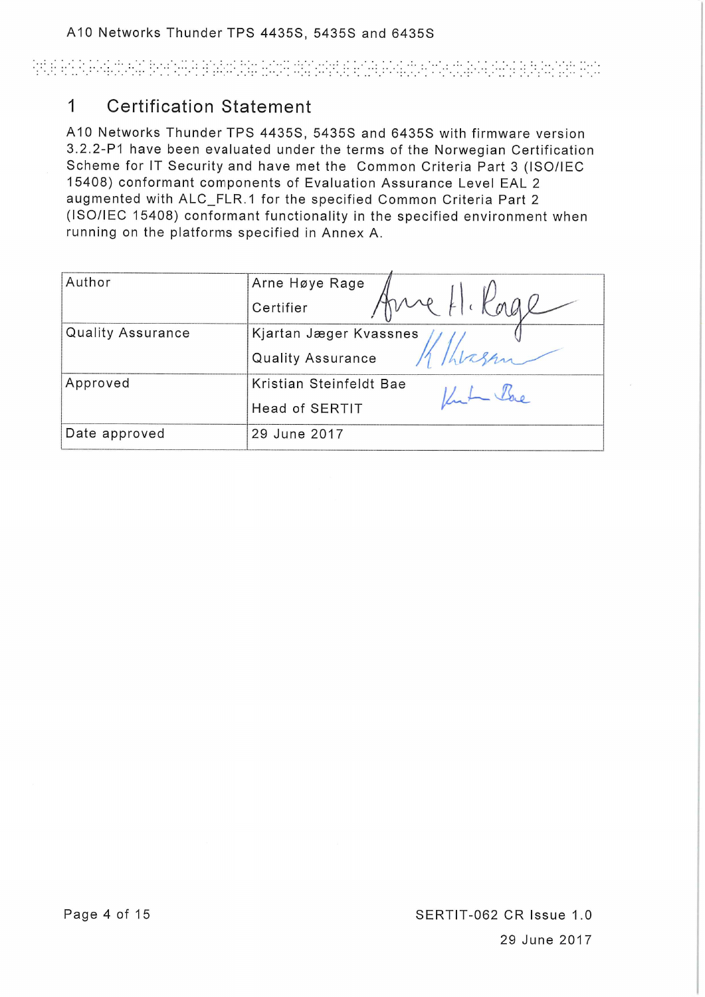# PELE PERUPANGKAN BERSAMAN DAN MANAPUR PERUPANGKAN ANG BUKAN POP

#### **Certification Statement**  $\mathbf{1}$

A10 Networks Thunder TPS 4435S, 5435S and 6435S with firmware version 3.2.2-P1 have been evaluated under the terms of the Norwegian Certification Scheme for IT Security and have met the Common Criteria Part 3 (ISO/IEC 15408) conformant components of Evaluation Assurance Level EAL 2 augmented with ALC\_FLR.1 for the specified Common Criteria Part 2 (ISO/IEC 15408) conformant functionality in the specified environment when running on the platforms specified in Annex A.

| Author                   | Arne Høye Rage           |
|--------------------------|--------------------------|
|                          | me H. Kage<br>Certifier  |
| <b>Quality Assurance</b> | Kjartan Jæger Kvassnes   |
|                          | <b>Quality Assurance</b> |
| Approved                 | Kristian Steinfeldt Bae  |
|                          | <b>Head of SERTIT</b>    |
| Date approved            | 29 June 2017             |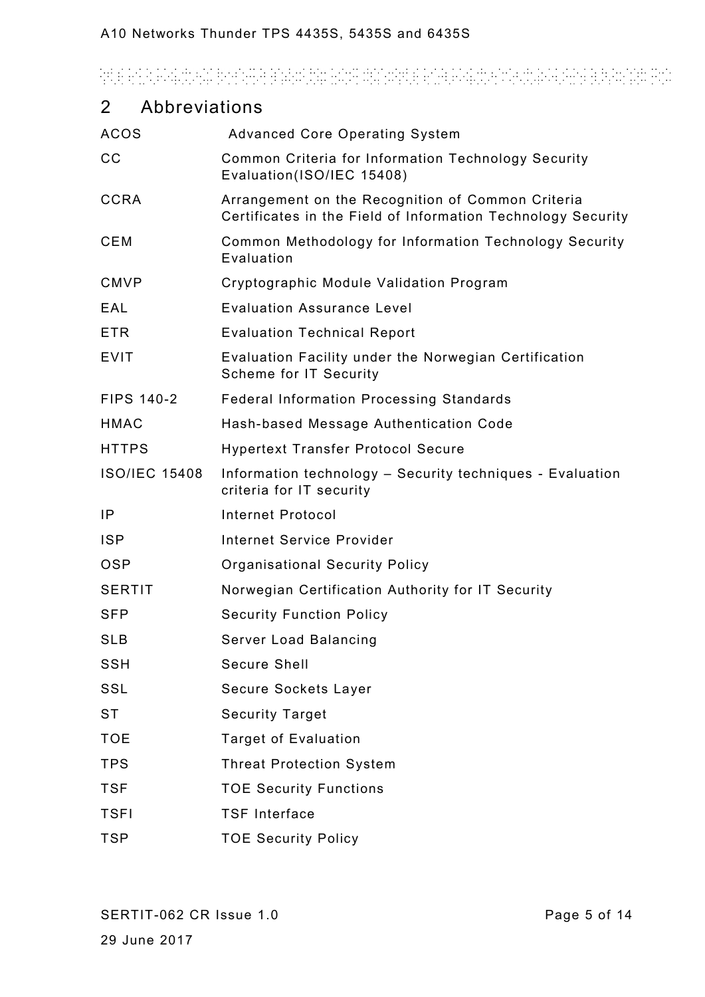# and an automatic property and the contract of the state of the second contract of the state and

| $\overline{2}$    | Abbreviations        |                                                                                                                   |
|-------------------|----------------------|-------------------------------------------------------------------------------------------------------------------|
| <b>ACOS</b>       |                      | <b>Advanced Core Operating System</b>                                                                             |
| cc                |                      | Common Criteria for Information Technology Security<br>Evaluation(ISO/IEC 15408)                                  |
| <b>CCRA</b>       |                      | Arrangement on the Recognition of Common Criteria<br>Certificates in the Field of Information Technology Security |
| <b>CEM</b>        |                      | Common Methodology for Information Technology Security<br>Evaluation                                              |
| <b>CMVP</b>       |                      | Cryptographic Module Validation Program                                                                           |
| EAL               |                      | <b>Evaluation Assurance Level</b>                                                                                 |
| <b>ETR</b>        |                      | <b>Evaluation Technical Report</b>                                                                                |
| <b>EVIT</b>       |                      | Evaluation Facility under the Norwegian Certification<br>Scheme for IT Security                                   |
| <b>FIPS 140-2</b> |                      | <b>Federal Information Processing Standards</b>                                                                   |
| <b>HMAC</b>       |                      | Hash-based Message Authentication Code                                                                            |
| <b>HTTPS</b>      |                      | <b>Hypertext Transfer Protocol Secure</b>                                                                         |
|                   | <b>ISO/IEC 15408</b> | Information technology - Security techniques - Evaluation<br>criteria for IT security                             |
| IP                |                      | <b>Internet Protocol</b>                                                                                          |
| <b>ISP</b>        |                      | <b>Internet Service Provider</b>                                                                                  |
| <b>OSP</b>        |                      | <b>Organisational Security Policy</b>                                                                             |
| <b>SERTIT</b>     |                      | Norwegian Certification Authority for IT Security                                                                 |
| <b>SFP</b>        |                      | <b>Security Function Policy</b>                                                                                   |
| <b>SLB</b>        |                      | Server Load Balancing                                                                                             |
| <b>SSH</b>        |                      | Secure Shell                                                                                                      |
| SSL               |                      | Secure Sockets Layer                                                                                              |
| <b>ST</b>         |                      | <b>Security Target</b>                                                                                            |
| <b>TOE</b>        |                      | <b>Target of Evaluation</b>                                                                                       |
| <b>TPS</b>        |                      | <b>Threat Protection System</b>                                                                                   |
| <b>TSF</b>        |                      | <b>TOE Security Functions</b>                                                                                     |
| <b>TSFI</b>       |                      | <b>TSF Interface</b>                                                                                              |
| <b>TSP</b>        |                      | <b>TOE Security Policy</b>                                                                                        |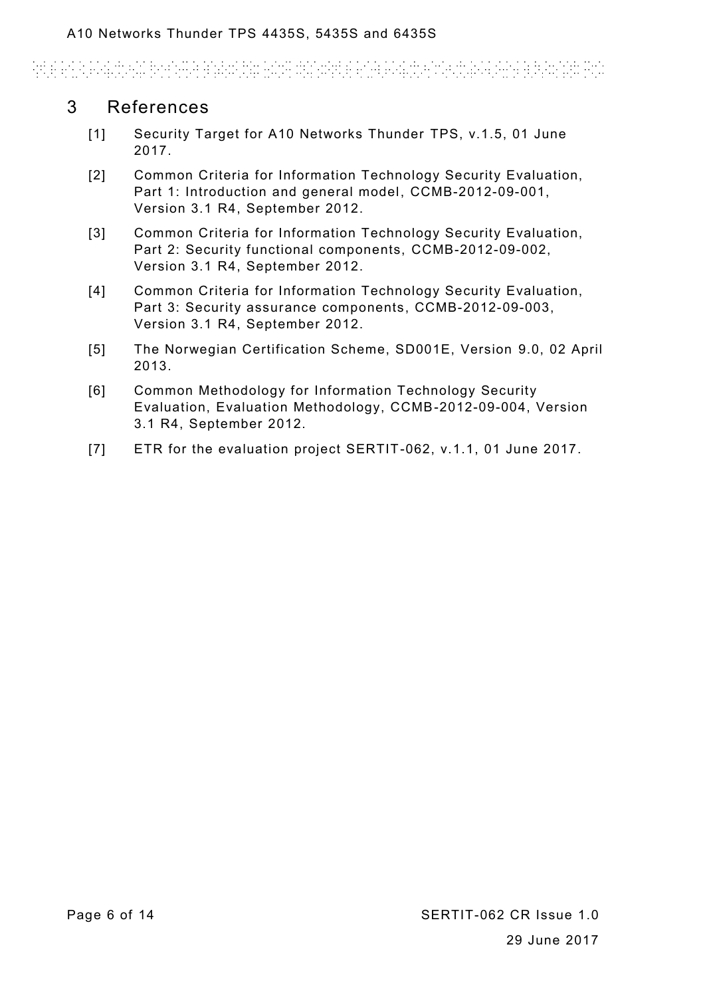# 

# 3 References

- <span id="page-5-0"></span>[1] Security Target for A10 Networks Thunder TPS, v.1.5, 01 June 2017.
- <span id="page-5-2"></span>[2] Common Criteria for Information Technology Security Evaluation, Part 1: Introduction and general model, CCMB-2012-09-001, Version 3.1 R4, September 2012.
- <span id="page-5-3"></span>[3] Common Criteria for Information Technology Security Evaluation, Part 2: Security functional components, CCMB-2012-09-002, Version 3.1 R4, September 2012.
- <span id="page-5-1"></span>[4] Common Criteria for Information Technology Security Evaluation, Part 3: Security assurance components, CCMB-2012-09-003, Version 3.1 R4, September 2012.
- <span id="page-5-4"></span>[5] The Norwegian Certification Scheme, SD001E, Version 9.0, 02 April 2013.
- <span id="page-5-5"></span>[6] Common Methodology for Information Technology Security Evaluation, Evaluation Methodology, CCMB-2012-09-004, Version 3.1 R4, September 2012.
- <span id="page-5-6"></span>[7] ETR for the evaluation project SERTIT-062, v.1.1, 01 June 2017.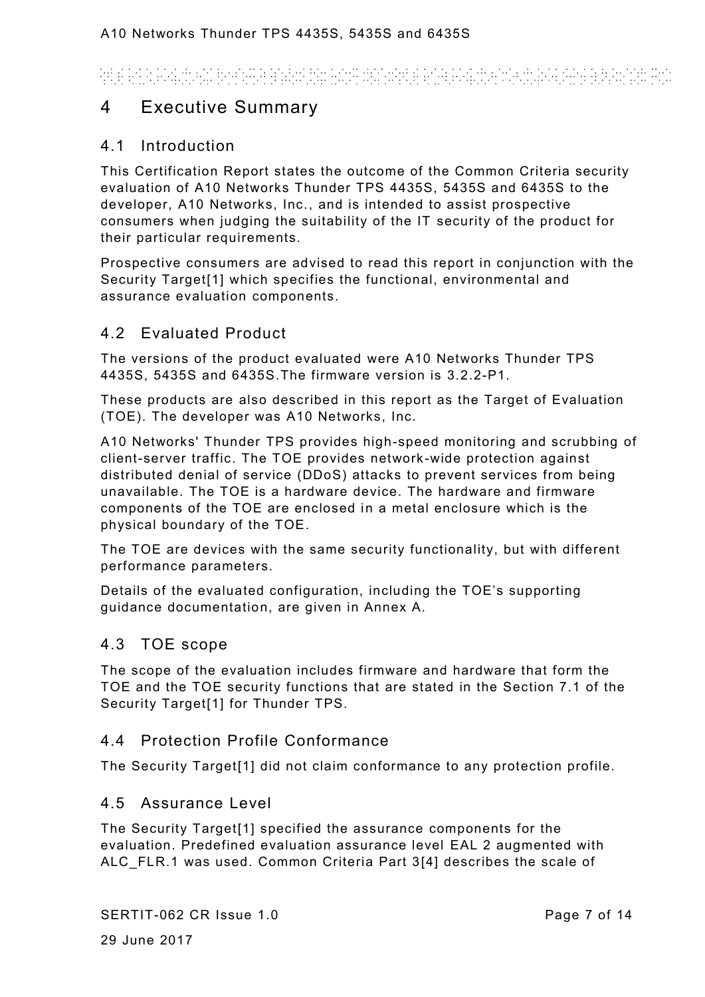# Andele a la constitución de la comunicación de la constitución de la constitución de la constitución de la con

# 4 Executive Summary

#### 4.1 Introduction

This Certification Report states the outcome of the Common Criteria security evaluation of A10 Networks Thunder TPS 4435S, 5435S and 6435S to the developer, A10 Networks, Inc., and is intended to assist prospective consumers when judging the suitability of the IT security of the product for their particular requirements.

Prospective consumers are advised to read this report in conjunction with the Security Targe[t\[1\]](#page-5-0) which specifies the functional, environmental and assurance evaluation components.

### 4.2 Evaluated Product

The versions of the product evaluated were A10 Networks Thunder TPS 4435S, 5435S and 6435S.The firmware version is 3.2.2-P1.

These products are also described in this report as the Target of Evaluation (TOE). The developer was A10 Networks, Inc.

A10 Networks' Thunder TPS provides high-speed monitoring and scrubbing of client-server traffic. The TOE provides network-wide protection against distributed denial of service (DDoS) attacks to prevent services from being unavailable. The TOE is a hardware device. The hardware and firmware components of the TOE are enclosed in a metal enclosure which is the physical boundary of the TOE.

The TOE are devices with the same security functionality, but with different performance parameters.

Details of the evaluated configuration, including the TOE's supporting guidance documentation, are given in Annex A.

#### <span id="page-6-0"></span>4.3 TOE scope

The scope of the evaluation includes firmware and hardware that form the TOE and the TOE security functions that are stated in the Section 7.1 of the Security Targe[t\[1\]](#page-5-0) for Thunder TPS.

#### 4.4 Protection Profile Conformance

The Security Targe[t\[1\]](#page-5-0) did not claim conformance to any protection profile.

#### 4.5 Assurance Level

The Security Targe[t\[1\]](#page-5-0) specified the assurance components for the evaluation. Predefined evaluation assurance level EAL 2 augmented with ALC\_FLR.1 was used. Common Criteria Part [3\[4\]](#page-5-1) describes the scale of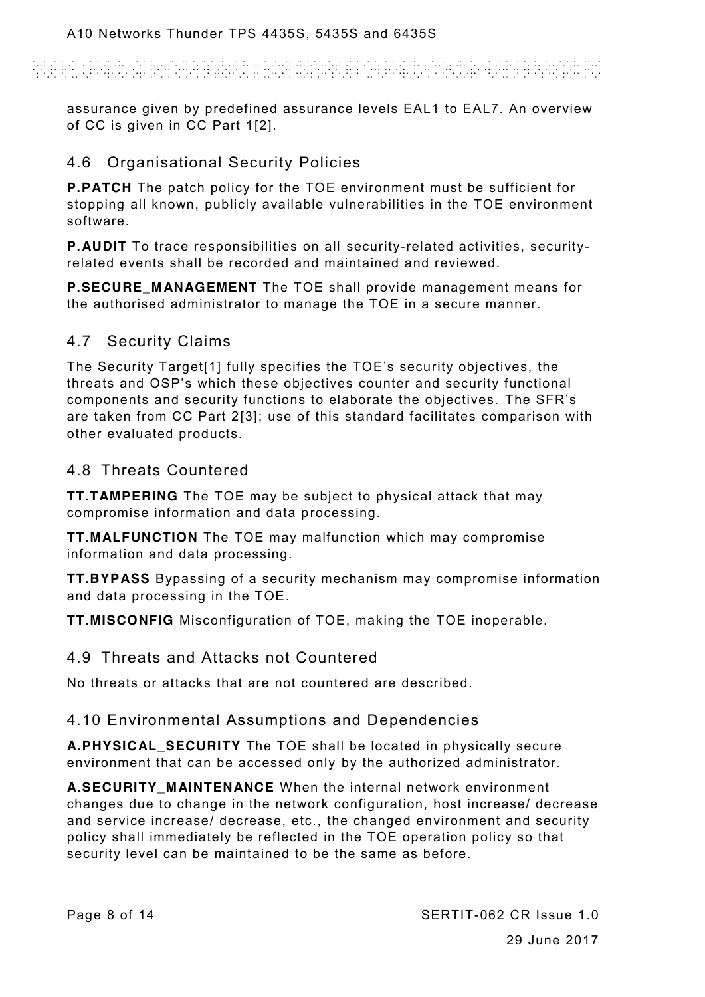# ARE ANA ESAINEAN BREATHE ANEISIN ANN DINASTE AN AISIAN AN CHOICEAR AG BLEASNA PIN

assurance given by predefined assurance levels EAL1 to EAL7. An overview of CC is given in CC Part [1\[2\].](#page-5-2)

### 4.6 Organisational Security Policies

**P.PATCH** The patch policy for the TOE environment must be sufficient for stopping all known, publicly available vulnerabilities in the TOE environment software.

**P.AUDIT** To trace responsibilities on all security-related activities, securityrelated events shall be recorded and maintained and reviewed.

**P.SECURE\_MANAGEMENT** The TOE shall provide management means for the authorised administrator to manage the TOE in a secure manner.

## 4.7 Security Claims

The Security Targe[t\[1\]](#page-5-0) fully specifies the TOE's security objectives, the threats and OSP's which these objectives counter and security functional components and security functions to elaborate the objectives. The SFR's are taken from CC Part [2\[3\];](#page-5-3) use of this standard facilitates comparison with other evaluated products.

### 4.8 Threats Countered

**TT.TAMPERING** The TOE may be subject to physical attack that may compromise information and data processing.

**TT.MALFUNCTION** The TOE may malfunction which may compromise information and data processing.

**TT.BYPASS** Bypassing of a security mechanism may compromise information and data processing in the TOE.

**TT.MISCONFIG** Misconfiguration of TOE, making the TOE inoperable.

#### 4.9 Threats and Attacks not Countered

No threats or attacks that are not countered are described.

### 4.10 Environmental Assumptions and Dependencies

**A.PHYSICAL\_SECURITY** The TOE shall be located in physically secure environment that can be accessed only by the authorized administrator.

**A.SECURITY\_MAINTENANCE** When the internal network environment changes due to change in the network configuration, host increase/ decrease and service increase/ decrease, etc., the changed environment and security policy shall immediately be reflected in the TOE operation policy so that security level can be maintained to be the same as before.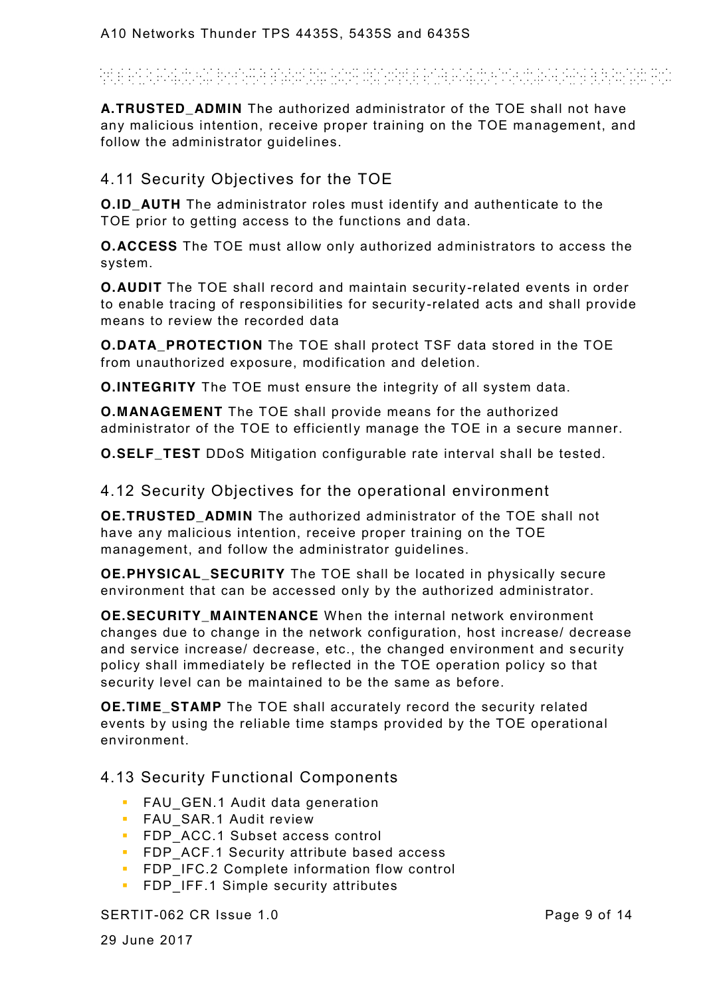# And a club a straight booking a particular model distance a constant of the state of the adventage

**A.TRUSTED\_ADMIN** The authorized administrator of the TOE shall not have any malicious intention, receive proper training on the TOE management, and follow the administrator guidelines.

### 4.11 Security Objectives for the TOE

**O.ID AUTH** The administrator roles must identify and authenticate to the TOE prior to getting access to the functions and data.

**O.ACCESS** The TOE must allow only authorized administrators to access the system.

**O.AUDIT** The TOE shall record and maintain security-related events in order to enable tracing of responsibilities for security -related acts and shall provide means to review the recorded data

**O.DATA\_PROTECTION** The TOE shall protect TSF data stored in the TOE from unauthorized exposure, modification and deletion.

**O.INTEGRITY** The TOE must ensure the integrity of all system data.

**O.MANAGEMENT** The TOE shall provide means for the authorized administrator of the TOE to efficiently manage the TOE in a secure manner.

**O.SELF\_TEST** DDoS Mitigation configurable rate interval shall be tested.

4.12 Security Objectives for the operational environment

**OE.TRUSTED ADMIN** The authorized administrator of the TOE shall not have any malicious intention, receive proper training on the TOE management, and follow the administrator guidelines.

**OE.PHYSICAL\_SECURITY** The TOE shall be located in physically secure environment that can be accessed only by the authorized administrator.

**OE.SECURITY\_MAINTENANCE** When the internal network environment changes due to change in the network configuration, host increase/ decrease and service increase/ decrease, etc., the changed environment and security policy shall immediately be reflected in the TOE operation policy so that security level can be maintained to be the same as before.

**OE.TIME STAMP** The TOE shall accurately record the security related events by using the reliable time stamps provided by the TOE operational environment.

4.13 Security Functional Components

- **FAU** GEN.1 Audit data generation
- **FAU SAR.1 Audit review**
- **FDP** ACC.1 Subset access control
- **FIP ACF.1 Security attribute based access**
- **FDP IFC.2 Complete information flow control**
- **FDP** IFF.1 Simple security attributes

#### SERTIT-062 CR Issue 1.0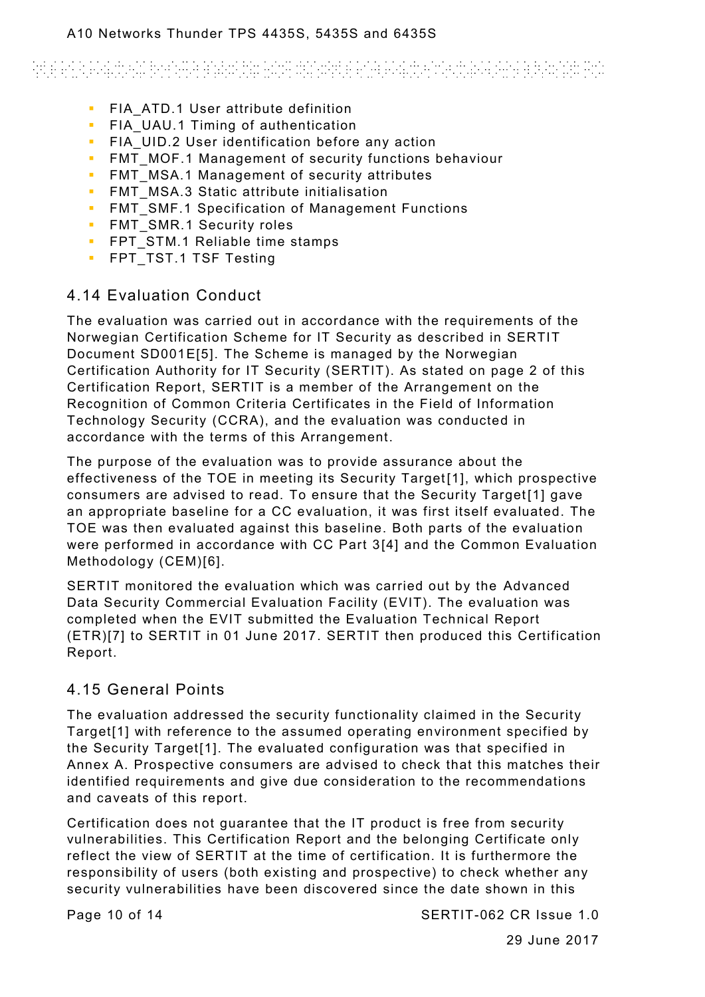# Antara Antara Antara Antara antara any amin'ny fivondronan-paositra 2008–2014. Ilay kaominina dia kaominina mp

- **FIA ATD.1 User attribute definition**
- **FIA** UAU.1 Timing of authentication
- **FIA** UID.2 User identification before any action
- **FMT** MOF.1 Management of security functions behaviour
- **FMT** MSA.1 Management of security attributes
- **FMT** MSA.3 Static attribute initialisation
- **FMT** SMF.1 Specification of Management Functions
- **FMT** SMR.1 Security roles
- **FPT** STM.1 Reliable time stamps
- **FPT TST.1 TSF Testing**

### 4.14 Evaluation Conduct

The evaluation was carried out in accordance with the requirements of the Norwegian Certification Scheme for IT Security as described in SERTIT Document SD001[E\[5\].](#page-5-4) The Scheme is managed by the Norwegian Certification Authority for IT Security (SERTIT). As stated on page 2 of this Certification Report, SERTIT is a member of the Arrangement on the Recognition of Common Criteria Certificates in the Field of Information Technology Security (CCRA), and the evaluation was conducted in accordance with the terms of this Arrangement.

The purpose of the evaluation was to provide assurance about the effectiveness of the TOE in meeting its Security Target<sup>[1]</sup>, which prospective consumers are advised to read. To ensure that the Security Target [\[1\]](#page-5-0) gave an appropriate baseline for a CC evaluation, it was first itself evaluated. The TOE was then evaluated against this baseline. Both parts of the evaluation were performed in accordance with CC Part [3\[4\]](#page-5-1) and the Common Evaluation Methodology (CEM[\)\[6\].](#page-5-5)

SERTIT monitored the evaluation which was carried out by the Advanced Data Security Commercial Evaluation Facility (EVIT). The evaluation was completed when the EVIT submitted the Evaluation Technical Report (ETR[\)\[7\]](#page-5-6) to SERTIT in 01 June 2017. SERTIT then produced this Certification Report.

### 4.15 General Points

The evaluation addressed the security functionality claimed in the Security Targe[t\[1\]](#page-5-0) with reference to the assumed operating environment specified by the Security Targe[t\[1\].](#page-5-0) The evaluated configuration was that specified in Annex A. Prospective consumers are advised to check that this matches their identified requirements and give due consideration to the recommendations and caveats of this report.

Certification does not guarantee that the IT product is free from security vulnerabilities. This Certification Report and the belonging Certificate only reflect the view of SERTIT at the time of certification. It is furthermore the responsibility of users (both existing and prospective) to check whether any security vulnerabilities have been discovered since the date shown in this

Page 10 of 14 SERTIT-062 CR Issue 1.0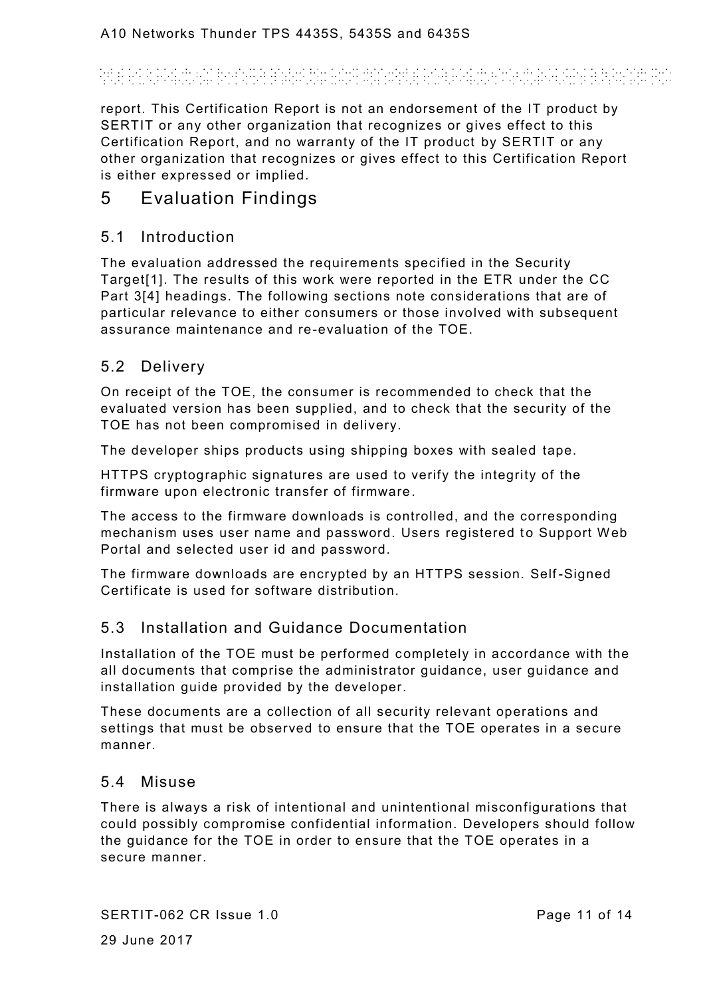# ARLE ANNI ANALIS ANNI ANNI ANALIS ANNI DINARI ANNI ANALIS ANNI ANNI ALAM ANNI A

report. This Certification Report is not an endorsement of the IT product by SERTIT or any other organization that recognizes or gives effect to this Certification Report, and no warranty of the IT product by SERTIT or any other organization that recognizes or gives effect to this Certification Report is either expressed or implied.

# <span id="page-10-0"></span>5 Evaluation Findings

#### 5.1 Introduction

The evaluation addressed the requirements specified in the Security Targe[t\[1\].](#page-5-0) The results of this work were reported in the ETR under the CC Part [3\[4\]](#page-5-1) headings. The following sections note considerations that are of particular relevance to either consumers or those involved with subsequent assurance maintenance and re-evaluation of the TOE.

#### 5.2 Delivery

On receipt of the TOE, the consumer is recommended to check that the evaluated version has been supplied, and to check that the security of the TOE has not been compromised in delivery.

The developer ships products using shipping boxes with sealed tape.

HTTPS cryptographic signatures are used to verify the integrity of the firmware upon electronic transfer of firmware.

The access to the firmware downloads is controlled, and the corresponding mechanism uses user name and password. Users registered to Support Web Portal and selected user id and password.

The firmware downloads are encrypted by an HTTPS session. Self -Signed Certificate is used for software distribution.

#### <span id="page-10-1"></span>5.3 Installation and Guidance Documentation

Installation of the TOE must be performed completely in accordance with the all documents that comprise the administrator guidance, user guidance and installation guide provided by the developer.

These documents are a collection of all security relevant operations and settings that must be observed to ensure that the TOE operates in a secure manner.

#### 5.4 Misuse

There is always a risk of intentional and unintentional misconfigurations that could possibly compromise confidential information. Developers should follow the guidance for the TOE in order to ensure that the TOE operates in a secure manner.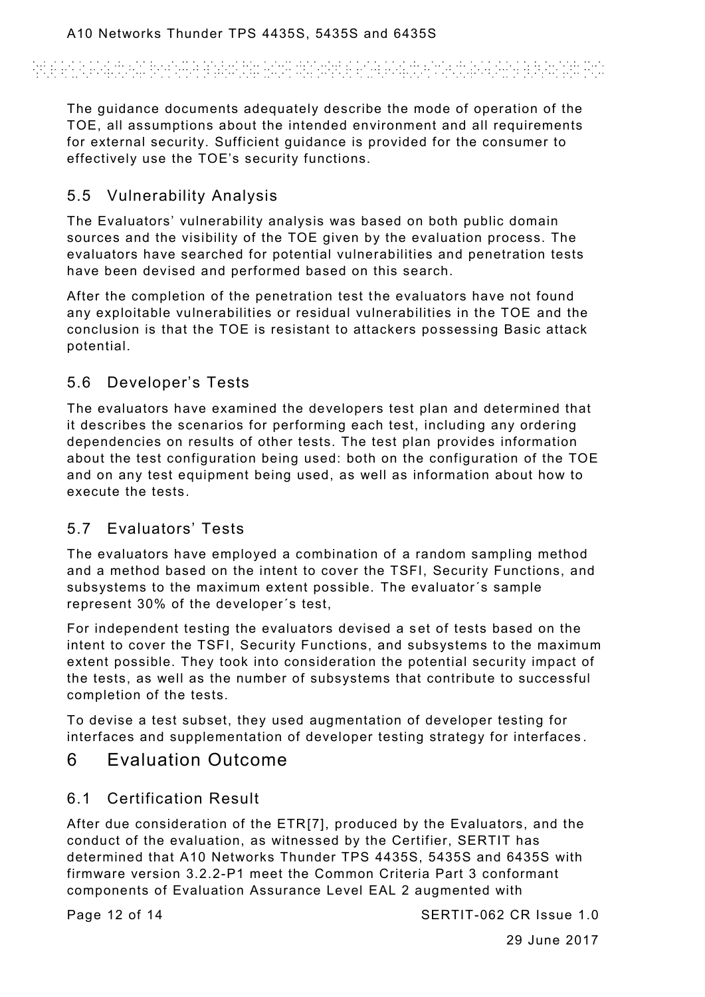# Andere and a construction of the construction of the construction of the construction of the construction of t<br>The construction of the construction of the construction of the construction of the construction of the constr

The guidance documents adequately describe the mode of operation of the TOE, all assumptions about the intended environment and all requirements for external security. Sufficient guidance is provided for the consumer to effectively use the TOE's security functions.

## 5.5 Vulnerability Analysis

The Evaluators' vulnerability analysis was based on both public domain sources and the visibility of the TOE given by the evaluation process. The evaluators have searched for potential vulnerabilities and penetration tests have been devised and performed based on this search.

After the completion of the penetration test the evaluators have not found any exploitable vulnerabilities or residual vulnerabilities in the TOE and the conclusion is that the TOE is resistant to attackers possessing Basic attack potential.

## 5.6 Developer's Tests

The evaluators have examined the developers test plan and determined that it describes the scenarios for performing each test, including any ordering dependencies on results of other tests. The test plan provides information about the test configuration being used: both on the configuration of the TOE and on any test equipment being used, as well as information about how to execute the tests.

## 5.7 Evaluators' Tests

The evaluators have employed a combination of a random sampling method and a method based on the intent to cover the TSFI, Security Functions, and subsystems to the maximum extent possible. The evaluator´s sample represent 30% of the developer´s test,

For independent testing the evaluators devised a set of tests based on the intent to cover the TSFI, Security Functions, and subsystems to the maximum extent possible. They took into consideration the potential security impact of the tests, as well as the number of subsystems that contribute to successful completion of the tests.

To devise a test subset, they used augmentation of developer testing for interfaces and supplementation of developer testing strategy for interfaces .

# 6 Evaluation Outcome

## 6.1 Certification Result

After due consideration of the ET[R\[7\],](#page-5-6) produced by the Evaluators, and the conduct of the evaluation, as witnessed by the Certifier, SERTIT has determined that A10 Networks Thunder TPS 4435S, 5435S and 6435S with firmware version 3.2.2-P1 meet the Common Criteria Part 3 conformant components of Evaluation Assurance Level EAL 2 augmented with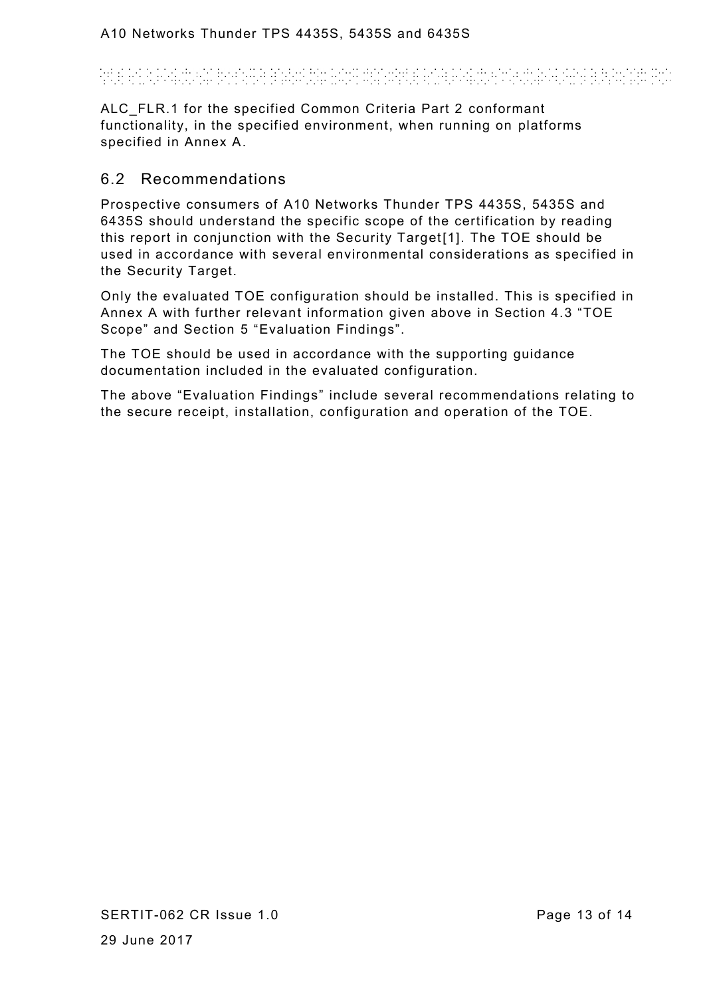# and a construction of the angular construction and construction of the construction of the construction of the<br>The construction of the construction of the construction of the construction of the construction of the constr

ALC FLR.1 for the specified Common Criteria Part 2 conformant functionality, in the specified environment, when running on platforms specified in Annex A.

#### 6.2 Recommendations

Prospective consumers of A10 Networks Thunder TPS 4435S, 5435S and 6435S should understand the specific scope of the certification by reading this report in conjunction with the Security Target<sup>[1]</sup>. The TOE should be used in accordance with several environmental considerations as specified in the Security Target.

Only the evaluated TOE configuration should be installed. This is specified in Annex A with further relevant information given above in Section [4.3](#page-6-0) "TOE Scope" and Section [5](#page-10-0) "Evaluation Findings".

The TOE should be used in accordance with the supporting guidance documentation included in the evaluated configuration.

The above "Evaluation Findings" include several recommendations relating to the secure receipt, installation, configuration and operation of the TOE.